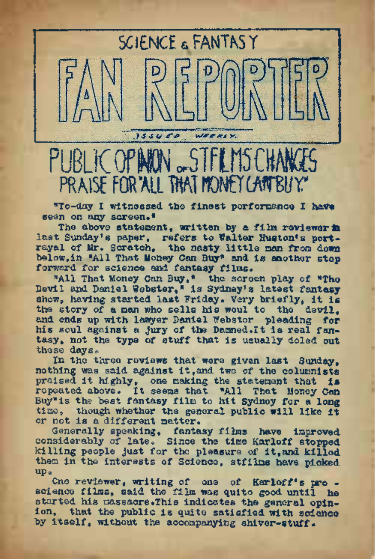SCIENCE a FANTASY

PUBLIC OPININ "STFLMSE PRAISE FOR ALL THAT MONET CANTBUY"

WEEKLY

 $155000$ 

"To-day I witnessed the finest performance I have seen on any screen.\*

The above statement, written by a film reviewer in last Sunday's paper, refers to Walter Huston's portrayal of Mr. Scratch, the nasty little man from down below,in "All That Money Can Buy" and is another stop forward for science and fantasy films.

"All That Money Can Buy," the screen play of "Tho Devil and Daniel Webster," is Sydney's latest fantasy show, having started last Friday. Very briefly, it is the story of a man who sells his woul to the devil. and ends up with lawyer Daniel Webster pleading for his soul against a Jury of the <Damned.lt> is real fantasy, not the type of stuff that is usually doled out these days.

In the three reviews that were given last Sunday, nothing was said against it,and two of the columnists praised it highly, one making the statement that is repeated above. It seems that "All That Money Can Buy"is the best fantasy film to hit Sydney for a long time, though whether the general public will like it or not is a different matter.

Generally speaking, fantasy films have improved considerably of late. Since the time Karloff stopped killing people just for tho pleasure of it,and killed them in the interests of Science, stfilms have picked Up a

Cne reviewer, writing of one of Karloff's pro science films, said the film was quite good until he started his massacre.This indicates the general opinion, that the public is quite satisfied with science by itself, without the accompanying shiver-stuff.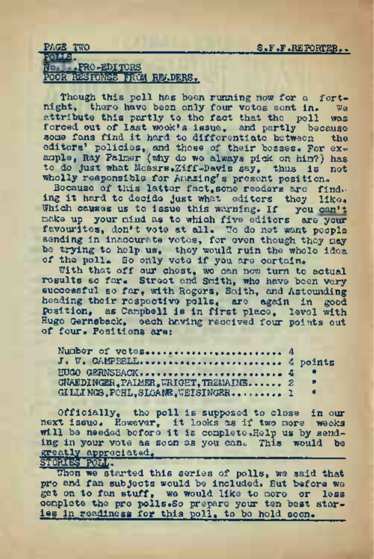## PAGE TWO S.F.F.REPORTER..

# FOtts<sup>J</sup> Wo .FRO-EDITORS POOR RESIDNSB FROM READERS,

Though this poll has been running now for a fort-<br>thi. there have been only four votes sont in. We night, there have been only four votes sent in. attribute this partly to the fact that the poll was forced out of last wook's issue, and partly because<br>sous fans find it hard to differentiate between the some fans find it hard to differentiate between editors' policies, and those of their bosses. For example, Ray Palmer (why do we always pick on him?) has to do just what Messrs.Ziff-Davis say, thus is not wholly responsible for Amazing's present position.

Because of this latter fact, some readers are find. ing it hard to decide just what editors they like. Which causes us to issue this warning. If you can't make up your mind as to which five editors are your favourites, don't vote at all. We do not want people sending in inaccurate votes, for even though they nay be trying to help us, they would ruin the whole idea of the poll. So only vote if you are certain.

With that off our chest, wo can now turn to actual results so far. Street and Smith, who have been very successful so far, with Rogers, Smith, and Astounding heading their respective polls, are again in good position, as Campbell is in first place, level with of four. Positions are: ing to not us to provide run the wild with the straight point of the polls for only vote if you are octain<br>With that off our chost, wo can not turn<br>with so far, Straot end Smith, who have<br>coessful so far, with Rogors, Smit

| position, as Campbell is in first place. level with<br>Hugo Gernsback, each having received four points out<br>of four. Positions are: |          |
|----------------------------------------------------------------------------------------------------------------------------------------|----------|
| J. W. CAMPBELL 4 points<br>EUGO GERNSBACK 4<br>GNAEDINGER. PAIMER. WRIGHT. TREMAINE 2<br>GILLINGS, FOHL, SLOAME, WEISINGER 1           | R<br>- 4 |

Officially, the poll is supposed to close in our next issue, However, it looks as if two more weeks will be needed before it is complete.HeIp us by sending in your vote as soon as you can. This would be greatly appreciated.

 ${\bf S}$ fore $\sim$  10.1  $\sim$ 

When we started this series of polls, we said that pro and fan subjects would be included. But before we get on to fan stuff, we would like to more or less complete the pro polls.So prepare your ten best stories in readiness for this poll, to be hold soon.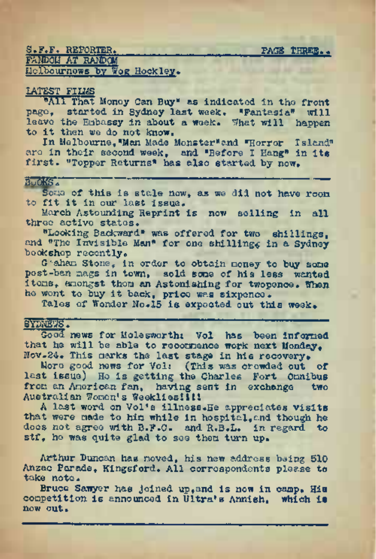S.F.F. REPORTER. . . PAGE THREE,, **EXNDOM AT RANDOM** Mclbournews by Wqg Hockley.

## LATEST FILMS

"All That Money Can Buy" as indicated in the front page, started, in Sydney last week. "Fantasia" will leave the Embassy in about a week. What will happen to it then we do not know.

In Melbourne, "Man Made Monster" and "Horror Island" are in their second week, and "Before I Hang" in its first. "Topper Returns" has also started by now.

Buoks. Some of this is stale now, as we did not have room to fit it in our last issue.

March Astounding Reprint is now selling in all three active states.

"Looking Backward" was offered for two shillings, and "The Invisible Man" for one shillings in a Sydney bookshop recently,

G.?aham Stone, in order to obtain money to buy some post-ban mags in town, sold sone of his less wanted items, amongst them an Astonishing for twopence. When he went to buy it back, price was sixpence.

Tales of Wonder No.<sup>15</sup> is expected out this week# SYDNEWS\* "<sup>=</sup> "

Good news for Molesworths Vol has been informed that he will be able to recommence work next Monday. Nov.24. This marks the last stage in his recovery.

More good news for Vol: (This was crowded out of last issue) He is getting the Charles Fort Omnibus from an American fan, having sent in exchange two Australian Women's Weekliesllil

<sup>A</sup> last word on Vol's illness.He appreciates visits that were made to him while in hospital, and though he doos not agree with B.F.C. and R.B.L. in regard to stf, ho was quite glad to see them turn up.

Arthur Duncan has moved, his new address being 510 Anzac Parade, Kingsford. All correspondents please to take note.

Bruce Samyer has joined up, and is now in camp. His competition is announced in Ultra's Annish, which is now out.